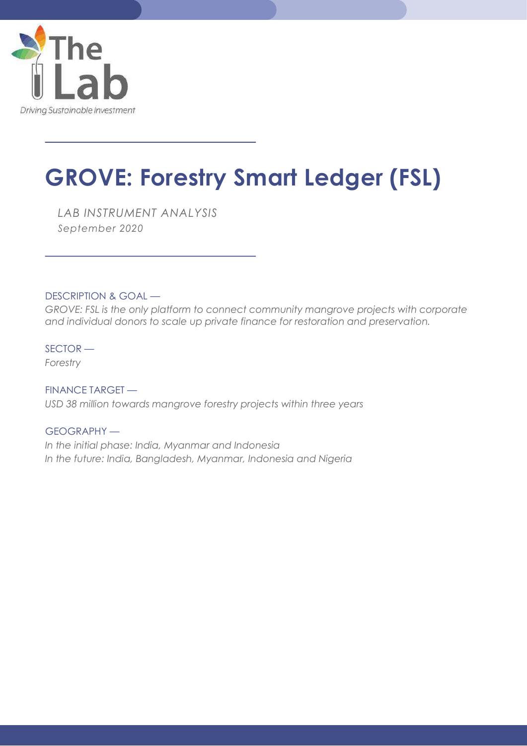

 $\overline{a}$ 

 $\overline{a}$ 

# GROVE: Forestry Smart Ledger (FSL)

LAB INSTRUMENT ANALYSIS September 2020

DESCRIPTION & GOAL —

GROVE: FSL is the only platform to connect community mangrove projects with corporate and individual donors to scale up private finance for restoration and preservation.

SECTOR — Forestry

FINANCE TARGET — USD 38 million towards mangrove forestry projects within three years

GEOGRAPHY — In the initial phase: India, Myanmar and Indonesia In the future: India, Bangladesh, Myanmar, Indonesia and Nigeria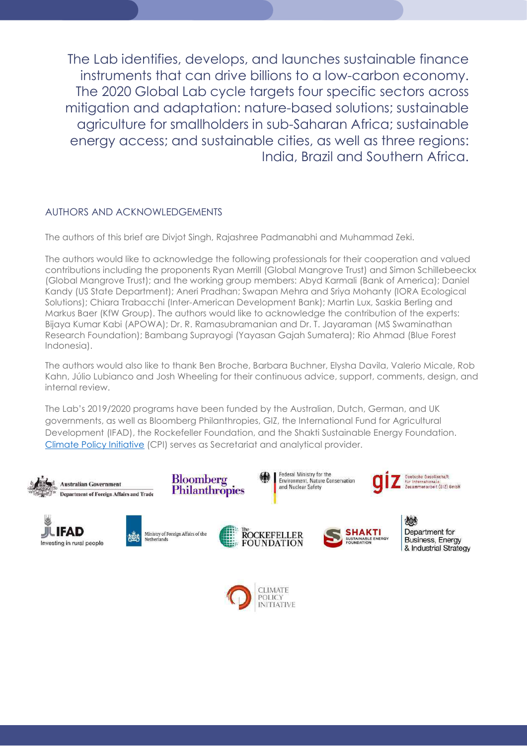The Lab identifies, develops, and launches sustainable finance instruments that can drive billions to a low-carbon economy. The 2020 Global Lab cycle targets four specific sectors across mitigation and adaptation: nature-based solutions; sustainable agriculture for smallholders in sub-Saharan Africa; sustainable energy access; and sustainable cities, as well as three regions: India, Brazil and Southern Africa.

### AUTHORS AND ACKNOWLEDGEMENTS

The authors of this brief are Divjot Singh, Rajashree Padmanabhi and Muhammad Zeki.

The authors would like to acknowledge the following professionals for their cooperation and valued contributions including the proponents Ryan Merrill (Global Mangrove Trust) and Simon Schillebeeckx (Global Mangrove Trust); and the working group members: Abyd Karmali (Bank of America); Daniel Kandy (US State Department); Aneri Pradhan; Swapan Mehra and Sriya Mohanty (IORA Ecological Solutions); Chiara Trabacchi (Inter-American Development Bank); Martin Lux, Saskia Berling and Markus Baer (KfW Group). The authors would like to acknowledge the contribution of the experts: Bijaya Kumar Kabi (APOWA); Dr. R. Ramasubramanian and Dr. T. Jayaraman (MS Swaminathan Research Foundation); Bambang Suprayogi (Yayasan Gajah Sumatera); Rio Ahmad (Blue Forest Indonesia).

The authors would also like to thank Ben Broche, Barbara Buchner, Elysha Davila, Valerio Micale, Rob Kahn, Júlio Lubianco and Josh Wheeling for their continuous advice, support, comments, design, and internal review.

The Lab's 2019/2020 programs have been funded by the Australian, Dutch, German, and UK governments, as well as Bloomberg Philanthropies, GIZ, the International Fund for Agricultural Development (IFAD), the Rockefeller Foundation, and the Shakti Sustainable Energy Foundation. Climate Policy Initiative (CPI) serves as Secretariat and analytical provider.



**INITIATIVE**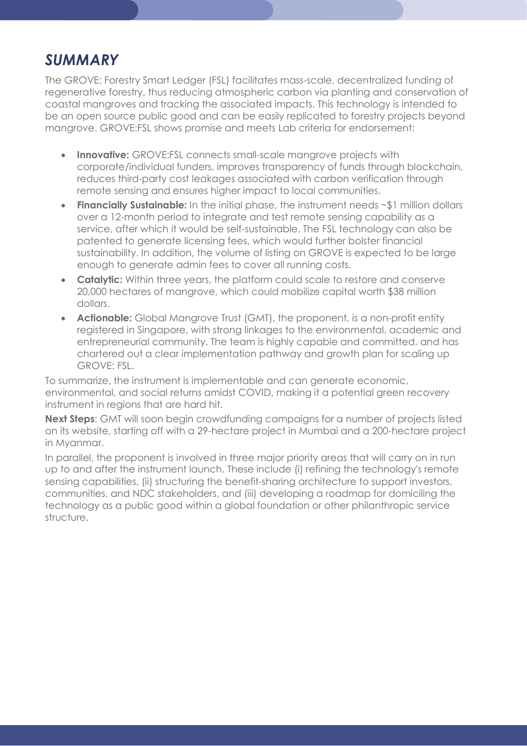## SUMMARY

The GROVE: Forestry Smart Ledger (FSL) facilitates mass-scale, decentralized funding of regenerative forestry, thus reducing atmospheric carbon via planting and conservation of coastal mangroves and tracking the associated impacts. This technology is intended to be an open source public good and can be easily replicated to forestry projects beyond mangrove. GROVE:FSL shows promise and meets Lab criteria for endorsement:

- Innovative: GROVE: FSL connects small-scale manarove projects with corporate/individual funders, improves transparency of funds through blockchain, reduces third-party cost leakages associated with carbon verification through remote sensing and ensures higher impact to local communities.
- Financially Sustainable: In the initial phase, the instrument needs ~\$1 million dollars over a 12-month period to integrate and test remote sensing capability as a service, after which it would be self-sustainable. The FSL technology can also be patented to generate licensing fees, which would further bolster financial sustainability. In addition, the volume of listing on GROVE is expected to be large enough to generate admin fees to cover all running costs.
- Catalytic: Within three years, the platform could scale to restore and conserve 20,000 hectares of mangrove, which could mobilize capital worth \$38 million dollars.
- **Actionable:** Global Mangrove Trust (GMT), the proponent, is a non-profit entity registered in Singapore, with strong linkages to the environmental, academic and entrepreneurial community. The team is highly capable and committed, and has chartered out a clear implementation pathway and growth plan for scaling up GROVE: FSL.

To summarize, the instrument is implementable and can generate economic, environmental, and social returns amidst COVID, making it a potential green recovery instrument in regions that are hard hit.

Next Steps: GMT will soon begin crowdfunding campaigns for a number of projects listed on its website, starting off with a 29-hectare project in Mumbai and a 200-hectare project in Myanmar.

In parallel, the proponent is involved in three major priority areas that will carry on in run up to and after the instrument launch. These include (i) refining the technology's remote sensing capabilities, (ii) structuring the benefit-sharing architecture to support investors, communities, and NDC stakeholders, and (iii) developing a roadmap for domiciling the technology as a public good within a global foundation or other philanthropic service structure.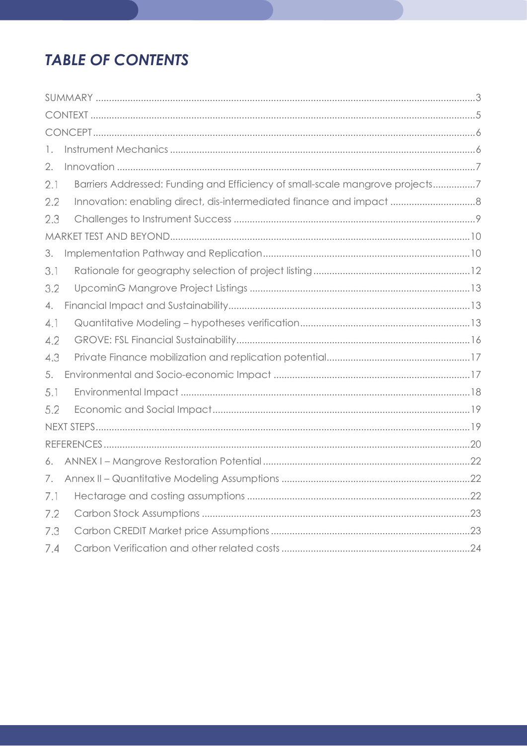## **TABLE OF CONTENTS**

| 1.  |                                                                              |
|-----|------------------------------------------------------------------------------|
| 2.  |                                                                              |
| 2.1 | Barriers Addressed: Funding and Efficiency of small-scale mangrove projects7 |
| 2.2 |                                                                              |
| 2.3 |                                                                              |
|     |                                                                              |
| 3.  |                                                                              |
| 3.1 |                                                                              |
| 3.2 |                                                                              |
| 4.  |                                                                              |
| 4.1 |                                                                              |
| 4.2 |                                                                              |
| 4.3 |                                                                              |
| 5.  |                                                                              |
| 5.1 |                                                                              |
| 5.2 |                                                                              |
|     |                                                                              |
|     |                                                                              |
| 6.  |                                                                              |
| 7.  |                                                                              |
| 7.1 |                                                                              |
| 7.2 |                                                                              |
| 7.3 |                                                                              |
| 7.4 |                                                                              |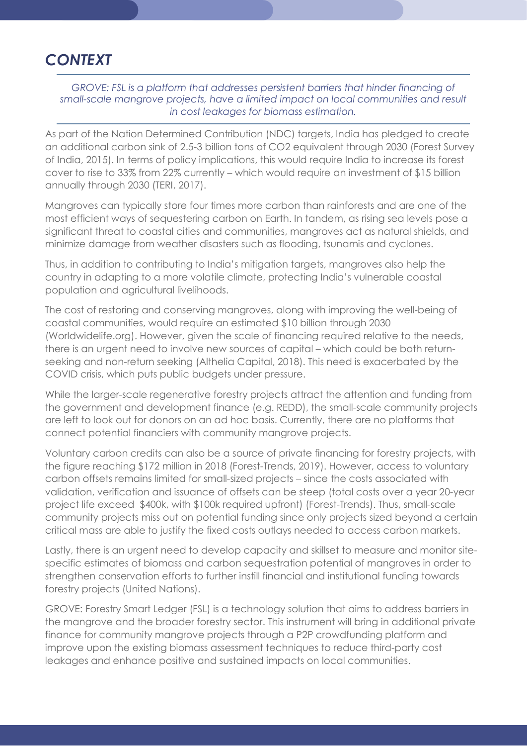## **CONTEXT**

### GROVE: FSL is a platform that addresses persistent barriers that hinder financing of small-scale mangrove projects, have a limited impact on local communities and result in cost leakages for biomass estimation.

As part of the Nation Determined Contribution (NDC) targets, India has pledged to create an additional carbon sink of 2.5-3 billion tons of CO2 equivalent through 2030 (Forest Survey of India, 2015). In terms of policy implications, this would require India to increase its forest cover to rise to 33% from 22% currently – which would require an investment of \$15 billion annually through 2030 (TERI, 2017).

Mangroves can typically store four times more carbon than rainforests and are one of the most efficient ways of sequestering carbon on Earth. In tandem, as rising sea levels pose a significant threat to coastal cities and communities, mangroves act as natural shields, and minimize damage from weather disasters such as flooding, tsunamis and cyclones.

Thus, in addition to contributing to India's mitigation targets, mangroves also help the country in adapting to a more volatile climate, protecting India's vulnerable coastal population and agricultural livelihoods.

The cost of restoring and conserving mangroves, along with improving the well-being of coastal communities, would require an estimated \$10 billion through 2030 (Worldwidelife.org). However, given the scale of financing required relative to the needs, there is an urgent need to involve new sources of capital – which could be both returnseeking and non-return seeking (Althelia Capital, 2018). This need is exacerbated by the COVID crisis, which puts public budgets under pressure.

While the larger-scale regenerative forestry projects attract the attention and funding from the government and development finance (e.g. REDD), the small-scale community projects are left to look out for donors on an ad hoc basis. Currently, there are no platforms that connect potential financiers with community mangrove projects.

Voluntary carbon credits can also be a source of private financing for forestry projects, with the figure reaching \$172 million in 2018 (Forest-Trends, 2019). However, access to voluntary carbon offsets remains limited for small-sized projects – since the costs associated with validation, verification and issuance of offsets can be steep (total costs over a year 20-year project life exceed \$400k, with \$100k required upfront) (Forest-Trends). Thus, small-scale community projects miss out on potential funding since only projects sized beyond a certain critical mass are able to justify the fixed costs outlays needed to access carbon markets.

Lastly, there is an urgent need to develop capacity and skillset to measure and monitor sitespecific estimates of biomass and carbon sequestration potential of mangroves in order to strengthen conservation efforts to further instill financial and institutional funding towards forestry projects (United Nations).

GROVE: Forestry Smart Ledger (FSL) is a technology solution that aims to address barriers in the mangrove and the broader forestry sector. This instrument will bring in additional private finance for community mangrove projects through a P2P crowdfunding platform and improve upon the existing biomass assessment techniques to reduce third-party cost leakages and enhance positive and sustained impacts on local communities.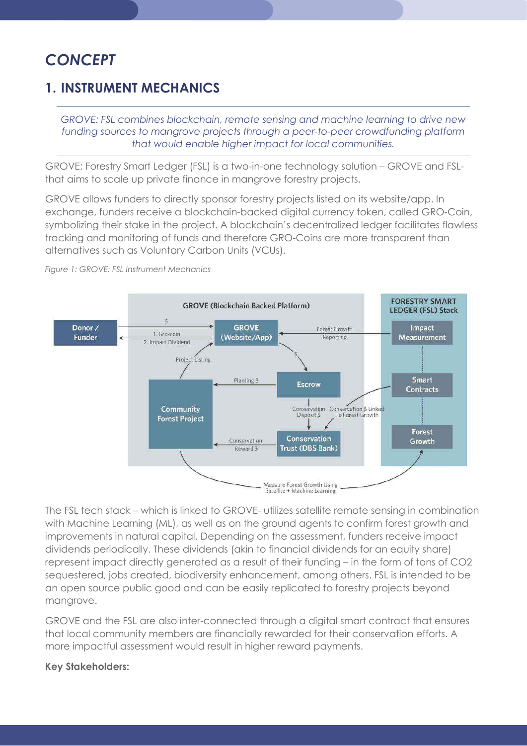## **CONCEPT**

## 1. INSTRUMENT MECHANICS

GROVE: FSL combines blockchain, remote sensing and machine learning to drive new funding sources to mangrove projects through a peer-to-peer crowdfunding platform that would enable higher impact for local communities.

GROVE: Forestry Smart Ledger (FSL) is a two-in-one technology solution – GROVE and FSLthat aims to scale up private finance in mangrove forestry projects.

GROVE allows funders to directly sponsor forestry projects listed on its website/app. In exchange, funders receive a blockchain-backed digital currency token, called GRO-Coin, symbolizing their stake in the project. A blockchain's decentralized ledger facilitates flawless tracking and monitoring of funds and therefore GRO-Coins are more transparent than alternatives such as Voluntary Carbon Units (VCUs).



Figure 1: GROVE: FSL Instrument Mechanics

The FSL tech stack – which is linked to GROVE- utilizes satellite remote sensing in combination with Machine Learning (ML), as well as on the ground agents to confirm forest growth and improvements in natural capital. Depending on the assessment, funders receive impact dividends periodically. These dividends (akin to financial dividends for an equity share) represent impact directly generated as a result of their funding – in the form of tons of CO2 sequestered, jobs created, biodiversity enhancement, among others. FSL is intended to be an open source public good and can be easily replicated to forestry projects beyond mangrove.

GROVE and the FSL are also inter-connected through a digital smart contract that ensures that local community members are financially rewarded for their conservation efforts. A more impactful assessment would result in higher reward payments.

### Key Stakeholders: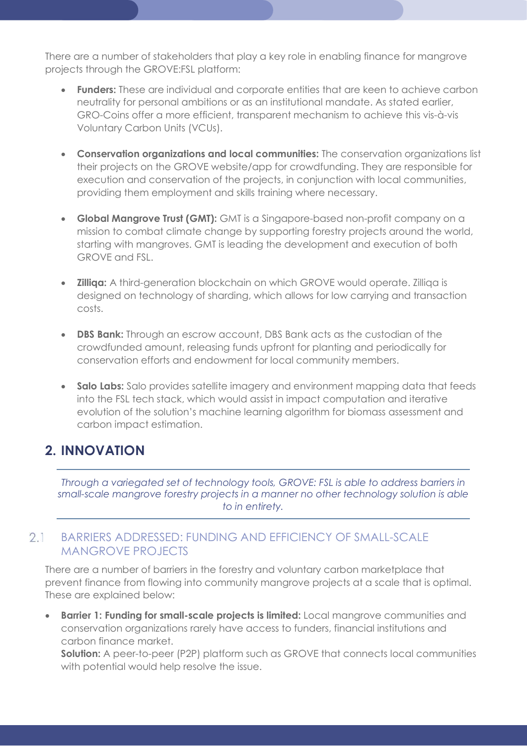There are a number of stakeholders that play a key role in enabling finance for mangrove projects through the GROVE:FSL platform:

- **Funders:** These are individual and corporate entities that are keen to achieve carbon neutrality for personal ambitions or as an institutional mandate. As stated earlier, GRO-Coins offer a more efficient, transparent mechanism to achieve this vis-à-vis Voluntary Carbon Units (VCUs).
- Conservation organizations and local communities: The conservation organizations list their projects on the GROVE website/app for crowdfunding. They are responsible for execution and conservation of the projects, in conjunction with local communities, providing them employment and skills training where necessary.
- Global Mangrove Trust (GMT): GMT is a Singapore-based non-profit company on a mission to combat climate change by supporting forestry projects around the world, starting with mangroves. GMT is leading the development and execution of both GROVE and FSL.
- **Zilliga:** A third-generation blockchain on which GROVE would operate. Zilliqa is designed on technology of sharding, which allows for low carrying and transaction costs.
- DBS Bank: Through an escrow account, DBS Bank acts as the custodian of the crowdfunded amount, releasing funds upfront for planting and periodically for conservation efforts and endowment for local community members.
- Salo Labs: Salo provides satellite imagery and environment mapping data that feeds into the FSL tech stack, which would assist in impact computation and iterative evolution of the solution's machine learning algorithm for biomass assessment and carbon impact estimation.

## 2. INNOVATION

Through a variegated set of technology tools, GROVE: FSL is able to address barriers in small-scale mangrove forestry projects in a manner no other technology solution is able to in entirety.

#### BARRIERS ADDRESSED: FUNDING AND EFFICIENCY OF SMALL-SCALE  $2.1$ MANGROVE PROJECTS

There are a number of barriers in the forestry and voluntary carbon marketplace that prevent finance from flowing into community mangrove projects at a scale that is optimal. These are explained below:

Barrier 1: Funding for small-scale projects is limited: Local mangrove communities and conservation organizations rarely have access to funders, financial institutions and carbon finance market.

Solution: A peer-to-peer (P2P) platform such as GROVE that connects local communities with potential would help resolve the issue.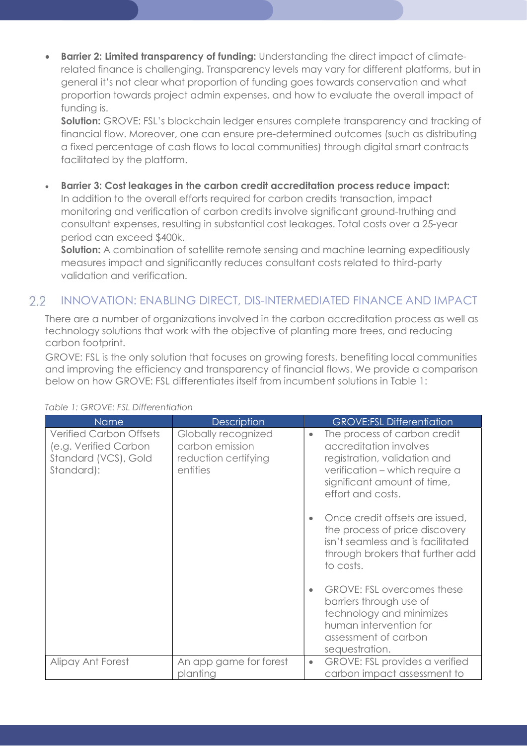**Barrier 2: Limited transparency of funding:** Understanding the direct impact of climaterelated finance is challenging. Transparency levels may vary for different platforms, but in general it's not clear what proportion of funding goes towards conservation and what proportion towards project admin expenses, and how to evaluate the overall impact of funding is.

Solution: GROVE: FSL's blockchain ledger ensures complete transparency and tracking of financial flow. Moreover, one can ensure pre-determined outcomes (such as distributing a fixed percentage of cash flows to local communities) through digital smart contracts facilitated by the platform.

Barrier 3: Cost leakages in the carbon credit accreditation process reduce impact:

In addition to the overall efforts required for carbon credits transaction, impact monitoring and verification of carbon credits involve significant ground-truthing and consultant expenses, resulting in substantial cost leakages. Total costs over a 25-year period can exceed \$400k.

**Solution:** A combination of satellite remote sensing and machine learning expeditiously measures impact and significantly reduces consultant costs related to third-party validation and verification.

#### INNOVATION: ENABLING DIRECT, DIS-INTERMEDIATED FINANCE AND IMPACT  $2.2$

There are a number of organizations involved in the carbon accreditation process as well as technology solutions that work with the objective of planting more trees, and reducing carbon footprint.

GROVE: FSL is the only solution that focuses on growing forests, benefiting local communities and improving the efficiency and transparency of financial flows. We provide a comparison below on how GROVE: FSL differentiates itself from incumbent solutions in Table 1:

| <b>Name</b>                                                                                   | <b>Description</b>                                                         |           | <b>GROVE:FSL Differentiation</b>                                                                                                                                             |
|-----------------------------------------------------------------------------------------------|----------------------------------------------------------------------------|-----------|------------------------------------------------------------------------------------------------------------------------------------------------------------------------------|
| <b>Verified Carbon Offsets</b><br>(e.g. Verified Carbon<br>Standard (VCS), Gold<br>Standard): | Globally recognized<br>carbon emission<br>reduction certifying<br>entities | ٠         | The process of carbon credit<br>accreditation involves<br>registration, validation and<br>verification - which require a<br>significant amount of time,<br>effort and costs. |
|                                                                                               |                                                                            |           | Once credit offsets are issued,<br>the process of price discovery<br>isn't seamless and is facilitated<br>through brokers that further add<br>to costs.                      |
|                                                                                               |                                                                            |           | <b>GROVE: FSL overcomes these</b><br>barriers through use of<br>technology and minimizes<br>human intervention for<br>assessment of carbon<br>sequestration.                 |
| Alipay Ant Forest                                                                             | An app game for forest<br>planting                                         | $\bullet$ | <b>GROVE: FSL provides a verified</b><br>carbon impact assessment to                                                                                                         |

#### Table 1: GROVE: FSL Differentiation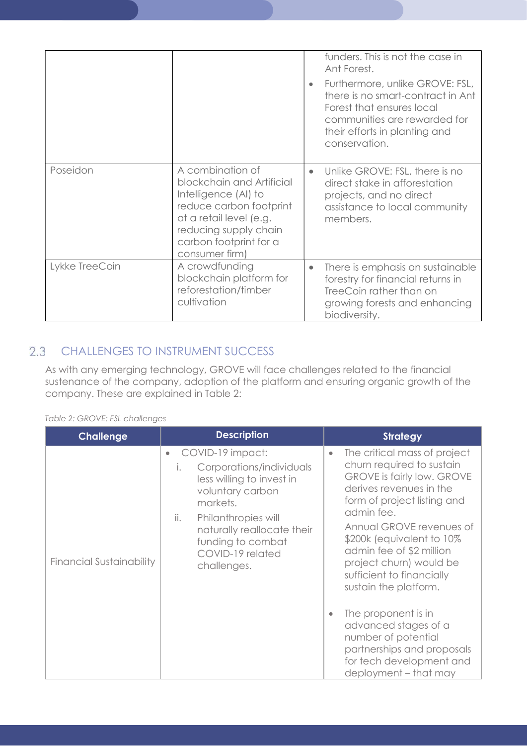|                |                                                                                                                                                                                                  |           | funders. This is not the case in<br>Ant Forest.<br>Furthermore, unlike GROVE: FSL,<br>there is no smart-contract in Ant<br>Forest that ensures local<br>communities are rewarded for<br>their efforts in planting and<br>conservation. |
|----------------|--------------------------------------------------------------------------------------------------------------------------------------------------------------------------------------------------|-----------|----------------------------------------------------------------------------------------------------------------------------------------------------------------------------------------------------------------------------------------|
| Poseidon       | A combination of<br>blockchain and Artificial<br>Intelligence (AI) to<br>reduce carbon footprint<br>at a retail level (e.g.<br>reducing supply chain<br>carbon footprint for a<br>consumer firm) | $\bullet$ | Unlike GROVE: FSL, there is no<br>direct stake in afforestation<br>projects, and no direct<br>assistance to local community<br>members.                                                                                                |
| Lykke TreeCoin | A crowdfunding<br>blockchain platform for<br>reforestation/timber<br>cultivation                                                                                                                 | $\bullet$ | There is emphasis on sustainable<br>forestry for financial returns in<br>TreeCoin rather than on<br>growing forests and enhancing<br>biodiversity.                                                                                     |

## 2.3 CHALLENGES TO INSTRUMENT SUCCESS

As with any emerging technology, GROVE will face challenges related to the financial sustenance of the company, adoption of the platform and ensuring organic growth of the company. These are explained in Table 2:

|  |  | Table 2: GROVE: FSL challenges |
|--|--|--------------------------------|

| <b>Challenge</b>                | <b>Description</b>                                                                                                                                                                                                                            | <b>Strategy</b>                                                                                                                                                                                                                                                                                                                                                                                                                                                                                                     |
|---------------------------------|-----------------------------------------------------------------------------------------------------------------------------------------------------------------------------------------------------------------------------------------------|---------------------------------------------------------------------------------------------------------------------------------------------------------------------------------------------------------------------------------------------------------------------------------------------------------------------------------------------------------------------------------------------------------------------------------------------------------------------------------------------------------------------|
| <b>Financial Sustainability</b> | COVID-19 impact:<br>Corporations/individuals<br>$\mathsf{L}$<br>less willing to invest in<br>voluntary carbon<br>markets.<br>ii.<br>Philanthropies will<br>naturally reallocate their<br>funding to combat<br>COVID-19 related<br>challenges. | The critical mass of project<br>$\bullet$<br>churn required to sustain<br><b>GROVE is fairly low. GROVE</b><br>derives revenues in the<br>form of project listing and<br>admin fee.<br>Annual GROVE revenues of<br>\$200k (equivalent to 10%)<br>admin fee of \$2 million<br>project churn) would be<br>sufficient to financially<br>sustain the platform.<br>The proponent is in<br>advanced stages of a<br>number of potential<br>partnerships and proposals<br>for tech development and<br>deployment - that may |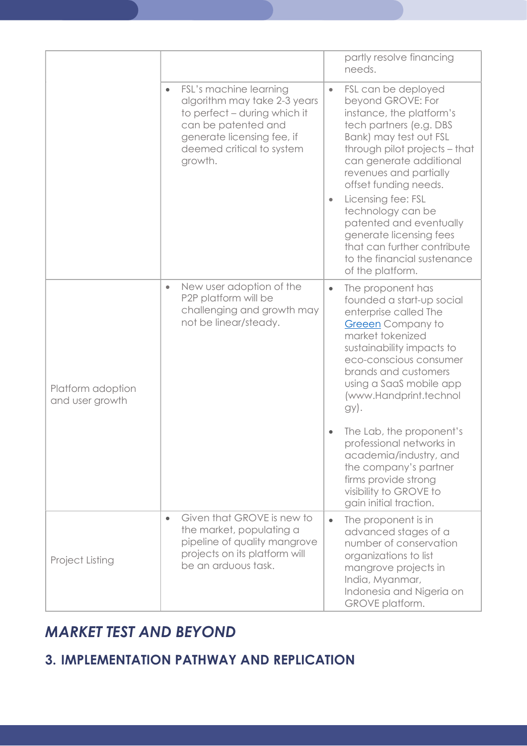|                                      |                                                                                                                                                                                                  | partly resolve financing<br>needs.                                                                                                                                                                                                                                                                                                                                                                                               |
|--------------------------------------|--------------------------------------------------------------------------------------------------------------------------------------------------------------------------------------------------|----------------------------------------------------------------------------------------------------------------------------------------------------------------------------------------------------------------------------------------------------------------------------------------------------------------------------------------------------------------------------------------------------------------------------------|
|                                      | FSL's machine learning<br>$\bullet$<br>algorithm may take 2-3 years<br>to perfect - during which it<br>can be patented and<br>generate licensing fee, if<br>deemed critical to system<br>growth. | FSL can be deployed<br>۰<br>beyond GROVE: For<br>instance, the platform's<br>tech partners (e.g. DBS<br>Bank) may test out FSL<br>through pilot projects - that<br>can generate additional<br>revenues and partially<br>offset funding needs.<br>Licensing fee: FSL<br>technology can be<br>patented and eventually<br>generate licensing fees<br>that can further contribute<br>to the financial sustenance<br>of the platform. |
| Platform adoption<br>and user growth | New user adoption of the<br>$\bullet$<br>P2P platform will be<br>challenging and growth may<br>not be linear/steady.                                                                             | The proponent has<br>$\bullet$<br>founded a start-up social<br>enterprise called The<br>Greeen Company to<br>market tokenized<br>sustainability impacts to<br>eco-conscious consumer<br>brands and customers<br>using a SaaS mobile app<br>(www.Handprint.technol<br>gy).                                                                                                                                                        |
|                                      |                                                                                                                                                                                                  | The Lab, the proponent's<br>professional networks in<br>academia/industry, and<br>the company's partner<br>firms provide strong<br>visibility to GROVE to<br>gain initial traction.                                                                                                                                                                                                                                              |
| Project Listing                      | Given that GROVE is new to<br>$\bullet$<br>the market, populating a<br>pipeline of quality mangrove<br>projects on its platform will<br>be an arduous task.                                      | The proponent is in<br>$\bullet$<br>advanced stages of a<br>number of conservation<br>organizations to list<br>mangrove projects in<br>India, Myanmar,<br>Indonesia and Nigeria on<br>GROVE platform.                                                                                                                                                                                                                            |

## MARKET TEST AND BEYOND

## 3. IMPLEMENTATION PATHWAY AND REPLICATION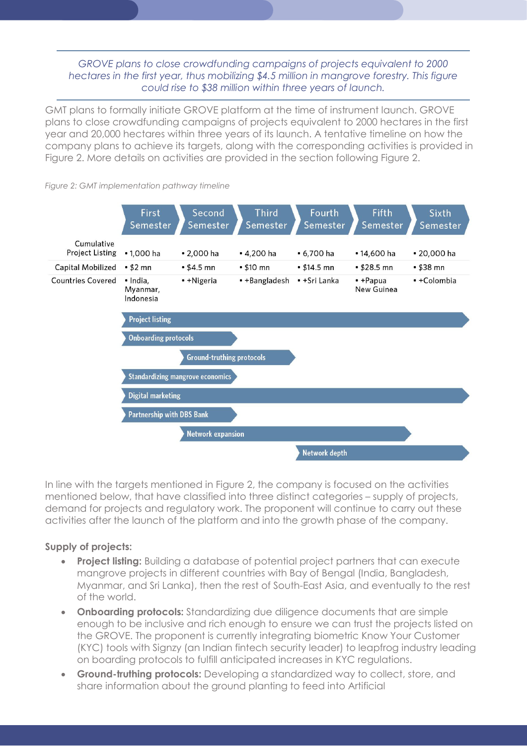### GROVE plans to close crowdfunding campaigns of projects equivalent to 2000 hectares in the first year, thus mobilizing \$4.5 million in mangrove forestry. This figure could rise to \$38 million within three years of launch.

GMT plans to formally initiate GROVE platform at the time of instrument launch. GROVE plans to close crowdfunding campaigns of projects equivalent to 2000 hectares in the first year and 20,000 hectares within three years of its launch. A tentative timeline on how the company plans to achieve its targets, along with the corresponding activities is provided in Figure 2. More details on activities are provided in the section following Figure 2.



Figure 2: GMT implementation pathway timeline

In line with the targets mentioned in Figure 2, the company is focused on the activities mentioned below, that have classified into three distinct categories – supply of projects, demand for projects and regulatory work. The proponent will continue to carry out these activities after the launch of the platform and into the growth phase of the company.

### Supply of projects:

- **Project listing:** Building a database of potential project partners that can execute mangrove projects in different countries with Bay of Bengal (India, Bangladesh, Myanmar, and Sri Lanka), then the rest of South-East Asia, and eventually to the rest of the world.
- Onboarding protocols: Standardizing due diligence documents that are simple enough to be inclusive and rich enough to ensure we can trust the projects listed on the GROVE. The proponent is currently integrating biometric Know Your Customer (KYC) tools with Signzy (an Indian fintech security leader) to leapfrog industry leading on boarding protocols to fulfill anticipated increases in KYC regulations.
- Ground-truthing protocols: Developing a standardized way to collect, store, and share information about the ground planting to feed into Artificial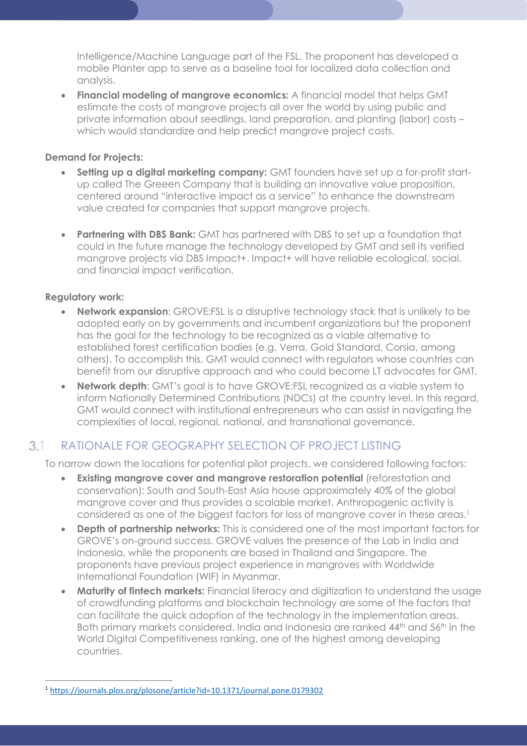Intelligence/Machine Language part of the FSL. The proponent has developed a mobile Planter app to serve as a baseline tool for localized data collection and analysis.

• Financial modeling of mangrove economics: A financial model that helps GMT estimate the costs of mangrove projects all over the world by using public and private information about seedlings, land preparation, and planting (labor) costs – which would standardize and help predict mangrove project costs.

### Demand for Projects:

- Setting up a digital marketing company: GMT founders have set up a for-profit startup called The Greeen Company that is building an innovative value proposition, centered around "interactive impact as a service" to enhance the downstream value created for companies that support mangrove projects.
- Partnering with DBS Bank: GMT has partnered with DBS to set up a foundation that could in the future manage the technology developed by GMT and sell its verified mangrove projects via DBS Impact+. Impact+ will have reliable ecological, social, and financial impact verification.

### Regulatory work:

- **Network expansion:** GROVE:FSL is a disruptive technology stack that is unlikely to be adopted early on by governments and incumbent organizations but the proponent has the goal for the technology to be recognized as a viable alternative to established forest certification bodies (e.g. Verra, Gold Standard, Corsia, among others). To accomplish this, GMT would connect with regulators whose countries can benefit from our disruptive approach and who could become LT advocates for GMT.
- Network depth: GMT's goal is to have GROVE:FSL recognized as a viable system to inform Nationally Determined Contributions (NDCs) at the country level. In this regard, GMT would connect with institutional entrepreneurs who can assist in navigating the complexities of local, regional, national, and transnational governance.

#### $3.1$ RATIONALE FOR GEOGRAPHY SELECTION OF PROJECT LISTING

To narrow down the locations for potential pilot projects, we considered following factors:

- Existing mangrove cover and mangrove restoration potential (reforestation and conservation): South and South-East Asia house approximately 40% of the global mangrove cover and thus provides a scalable market. Anthropogenic activity is considered as one of the biggest factors for loss of mangrove cover in these areas.<sup>1</sup>
- Depth of partnership networks: This is considered one of the most important factors for GROVE's on-ground success. GROVE values the presence of the Lab in India and Indonesia, while the proponents are based in Thailand and Singapore. The proponents have previous project experience in mangroves with Worldwide International Foundation (WIF) in Myanmar.
- Maturity of fintech markets: Financial literacy and digitization to understand the usage of crowdfunding platforms and blockchain technology are some of the factors that can facilitate the quick adoption of the technology in the implementation areas. Both primary markets considered. India and Indonesia are ranked 44<sup>th</sup> and 56<sup>th</sup> in the World Digital Competitiveness ranking, one of the highest among developing countries.

 $\overline{a}$ <sup>1</sup> https://journals.plos.org/plosone/article?id=10.1371/journal.pone.0179302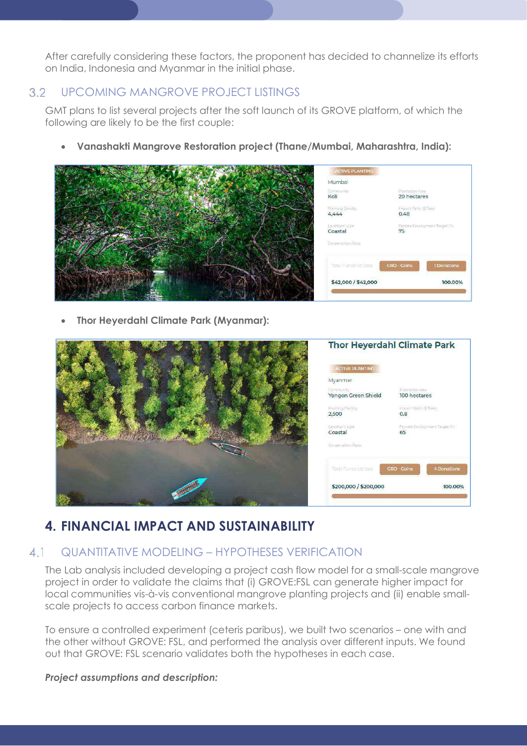After carefully considering these factors, the proponent has decided to channelize its efforts on India, Indonesia and Myanmar in the initial phase.

#### UPCOMING MANGROVE PROJECT LISTINGS  $3.2$

GMT plans to list several projects after the soft launch of its GROVE platform, of which the following are likely to be the first couple:

Vanashakti Mangrove Restoration project (Thane/Mumbai, Maharashtra, India):



Thor Heyerdahl Climate Park (Myanmar):



### 4. FINANCIAL IMPACT AND SUSTAINABILITY

#### QUANTITATIVE MODELING – HYPOTHESES VERIFICATION  $4.1$

The Lab analysis included developing a project cash flow model for a small-scale mangrove project in order to validate the claims that (i) GROVE:FSL can generate higher impact for local communities vis-à-vis conventional mangrove planting projects and (ii) enable smallscale projects to access carbon finance markets.

To ensure a controlled experiment (ceteris paribus), we built two scenarios – one with and the other without GROVE: FSL, and performed the analysis over different inputs. We found out that GROVE: FSL scenario validates both the hypotheses in each case.

### Project assumptions and description: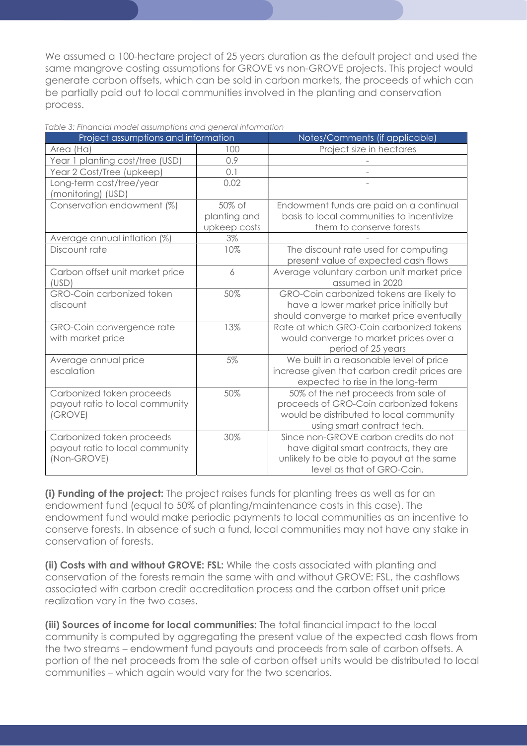We assumed a 100-hectare project of 25 years duration as the default project and used the same mangrove costing assumptions for GROVE vs non-GROVE projects. This project would generate carbon offsets, which can be sold in carbon markets, the proceeds of which can be partially paid out to local communities involved in the planting and conservation process.

| Project assumptions and information |              | Notes/Comments (if applicable)               |
|-------------------------------------|--------------|----------------------------------------------|
| Area (Ha)                           | 100          | Project size in hectares                     |
| Year 1 planting cost/tree (USD)     | 0.9          |                                              |
| Year 2 Cost/Tree (upkeep)           | 0.1          |                                              |
| Long-term cost/tree/year            | 0.02         |                                              |
| (monitoring) (USD)                  |              |                                              |
| Conservation endowment (%)          | 50% of       | Endowment funds are paid on a continual      |
|                                     | planting and | basis to local communities to incentivize    |
|                                     | upkeep costs | them to conserve forests                     |
| Average annual inflation (%)        | 3%           |                                              |
| Discount rate                       | 10%          | The discount rate used for computing         |
|                                     |              | present value of expected cash flows         |
| Carbon offset unit market price     | 6            | Average voluntary carbon unit market price   |
| (USD)                               |              | assumed in 2020                              |
| GRO-Coin carbonized token           | 50%          | GRO-Coin carbonized tokens are likely to     |
| discount                            |              | have a lower market price initially but      |
|                                     |              | should converge to market price eventually   |
| GRO-Coin convergence rate           | 13%          | Rate at which GRO-Coin carbonized tokens     |
| with market price                   |              | would converge to market prices over a       |
|                                     |              | period of 25 years                           |
| Average annual price                | 5%           | We built in a reasonable level of price      |
| escalation                          |              | increase given that carbon credit prices are |
|                                     |              | expected to rise in the long-term            |
| Carbonized token proceeds           | 50%          | 50% of the net proceeds from sale of         |
| payout ratio to local community     |              | proceeds of GRO-Coin carbonized tokens       |
| (GROVE)                             |              | would be distributed to local community      |
|                                     |              | using smart contract tech.                   |
| Carbonized token proceeds           | 30%          | Since non-GROVE carbon credits do not        |
| payout ratio to local community     |              | have digital smart contracts, they are       |
| (Non-GROVE)                         |              | unlikely to be able to payout at the same    |
|                                     |              | level as that of GRO-Coin.                   |

| Table 3: Financial model assumptions and general information |  |  |  |
|--------------------------------------------------------------|--|--|--|
|                                                              |  |  |  |

(i) Funding of the project: The project raises funds for planting trees as well as for an endowment fund (equal to 50% of planting/maintenance costs in this case). The endowment fund would make periodic payments to local communities as an incentive to conserve forests. In absence of such a fund, local communities may not have any stake in conservation of forests.

(ii) Costs with and without GROVE: FSL: While the costs associated with planting and conservation of the forests remain the same with and without GROVE: FSL, the cashflows associated with carbon credit accreditation process and the carbon offset unit price realization vary in the two cases.

(iii) Sources of income for local communities: The total financial impact to the local community is computed by aggregating the present value of the expected cash flows from the two streams – endowment fund payouts and proceeds from sale of carbon offsets. A portion of the net proceeds from the sale of carbon offset units would be distributed to local communities – which again would vary for the two scenarios.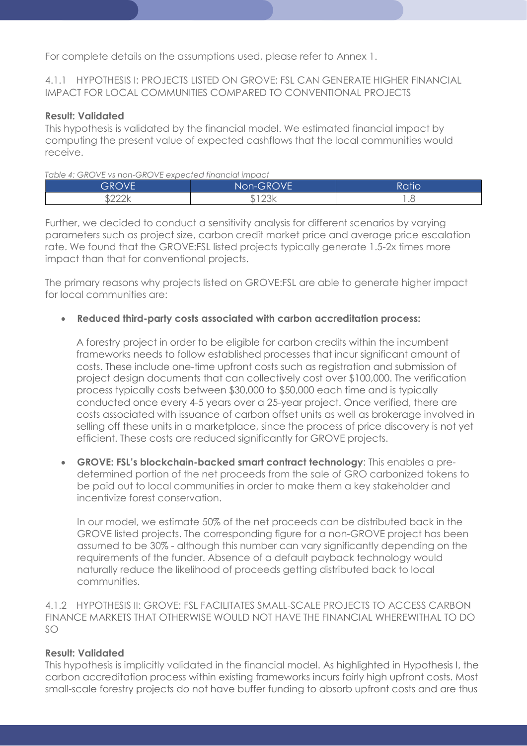For complete details on the assumptions used, please refer to Annex 1.

### 4.1.1 HYPOTHESIS I: PROJECTS LISTED ON GROVE: FSL CAN GENERATE HIGHER FINANCIAL IMPACT FOR LOCAL COMMUNITIES COMPARED TO CONVENTIONAL PROJECTS

### Result: Validated

This hypothesis is validated by the financial model. We estimated financial impact by computing the present value of expected cashflows that the local communities would receive.

#### Table 4: GROVE vs non-GROVE expected financial impact

| GROVE' | Non-GROVE | Ratid |
|--------|-----------|-------|
| nnni.  | O2L       | .     |

Further, we decided to conduct a sensitivity analysis for different scenarios by varying parameters such as project size, carbon credit market price and average price escalation rate. We found that the GROVE:FSL listed projects typically generate 1.5-2x times more impact than that for conventional projects.

The primary reasons why projects listed on GROVE:FSL are able to generate higher impact for local communities are:

#### Reduced third-party costs associated with carbon accreditation process:

A forestry project in order to be eligible for carbon credits within the incumbent frameworks needs to follow established processes that incur significant amount of costs. These include one-time upfront costs such as registration and submission of project design documents that can collectively cost over \$100,000. The verification process typically costs between \$30,000 to \$50,000 each time and is typically conducted once every 4-5 years over a 25-year project. Once verified, there are costs associated with issuance of carbon offset units as well as brokerage involved in selling off these units in a marketplace, since the process of price discovery is not yet efficient. These costs are reduced significantly for GROVE projects.

 GROVE: FSL's blockchain-backed smart contract technology: This enables a predetermined portion of the net proceeds from the sale of GRO carbonized tokens to be paid out to local communities in order to make them a key stakeholder and incentivize forest conservation.

In our model, we estimate 50% of the net proceeds can be distributed back in the GROVE listed projects. The corresponding figure for a non-GROVE project has been assumed to be 30% - although this number can vary significantly depending on the requirements of the funder. Absence of a default payback technology would naturally reduce the likelihood of proceeds getting distributed back to local communities.

4.1.2 HYPOTHESIS II: GROVE: FSL FACILITATES SMALL-SCALE PROJECTS TO ACCESS CARBON FINANCE MARKETS THAT OTHERWISE WOULD NOT HAVE THE FINANCIAL WHEREWITHAL TO DO SO

#### Result: Validated

This hypothesis is implicitly validated in the financial model. As highlighted in Hypothesis I, the carbon accreditation process within existing frameworks incurs fairly high upfront costs. Most small-scale forestry projects do not have buffer funding to absorb upfront costs and are thus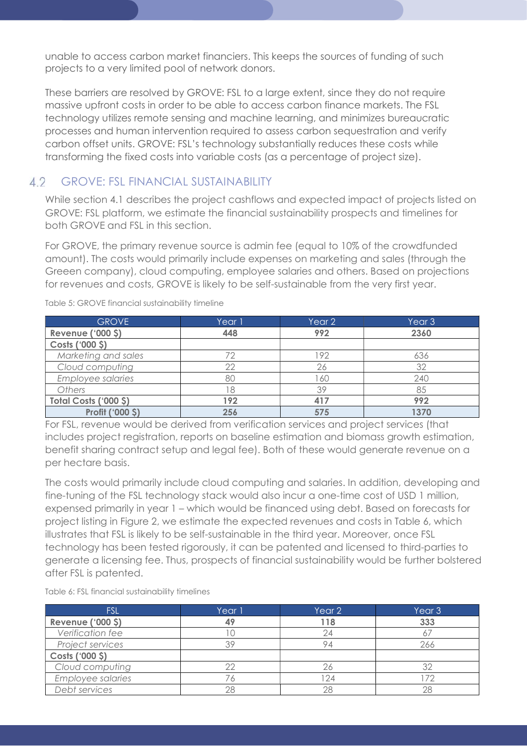unable to access carbon market financiers. This keeps the sources of funding of such projects to a very limited pool of network donors.

These barriers are resolved by GROVE: FSL to a large extent, since they do not require massive upfront costs in order to be able to access carbon finance markets. The FSL technology utilizes remote sensing and machine learning, and minimizes bureaucratic processes and human intervention required to assess carbon sequestration and verify carbon offset units. GROVE: FSL's technology substantially reduces these costs while transforming the fixed costs into variable costs (as a percentage of project size).

#### GROVE: FSL FINANCIAL SUSTAINABILITY  $42$

While section 4.1 describes the project cashflows and expected impact of projects listed on GROVE: FSL platform, we estimate the financial sustainability prospects and timelines for both GROVE and FSL in this section.

For GROVE, the primary revenue source is admin fee (equal to 10% of the crowdfunded amount). The costs would primarily include expenses on marketing and sales (through the Greeen company), cloud computing, employee salaries and others. Based on projections for revenues and costs, GROVE is likely to be self-sustainable from the very first year.

| <b>GROVE</b>             | Year 1 | Year 2 | Year <sub>3</sub> |
|--------------------------|--------|--------|-------------------|
| <b>Revenue ('000 \$)</b> | 448    | 992    | 2360              |
| Costs ('000 \$)          |        |        |                   |
| Marketing and sales      |        | 92     | 636               |
| Cloud computing          | 22     | 26     | 32                |
| <b>Employee salaries</b> | 80     | 60     | 240               |
| <b>Others</b>            | 8      | 39     | 85                |
| Total Costs ('000 \$)    | 192    | 417    | 992               |
| <b>Profit ('000 \$)</b>  | 256    | 575    | 1370              |

Table 5: GROVE financial sustainability timeline

For FSL, revenue would be derived from verification services and project services (that includes project registration, reports on baseline estimation and biomass growth estimation, benefit sharing contract setup and legal fee). Both of these would generate revenue on a per hectare basis.

The costs would primarily include cloud computing and salaries. In addition, developing and fine-tuning of the FSL technology stack would also incur a one-time cost of USD 1 million, expensed primarily in year 1 – which would be financed using debt. Based on forecasts for project listing in Figure 2, we estimate the expected revenues and costs in Table 6, which illustrates that FSL is likely to be self-sustainable in the third year. Moreover, once FSL technology has been tested rigorously, it can be patented and licensed to third-parties to generate a licensing fee. Thus, prospects of financial sustainability would be further bolstered after FSL is patented.

Table 6: FSL financial sustainability timelines

| <b>FSL</b>               | Year 1 | Year 2 | Year <sub>3</sub> |
|--------------------------|--------|--------|-------------------|
| <b>Revenue ('000 \$)</b> |        | 118    | 333               |
| Verification fee         |        |        |                   |
| Project services         |        |        | 266               |
| Costs ('000 \$)          |        |        |                   |
| Cloud computing          |        |        |                   |
| <b>Employee salaries</b> |        | 24     | 72                |
| Debt services            | 28     |        | 28                |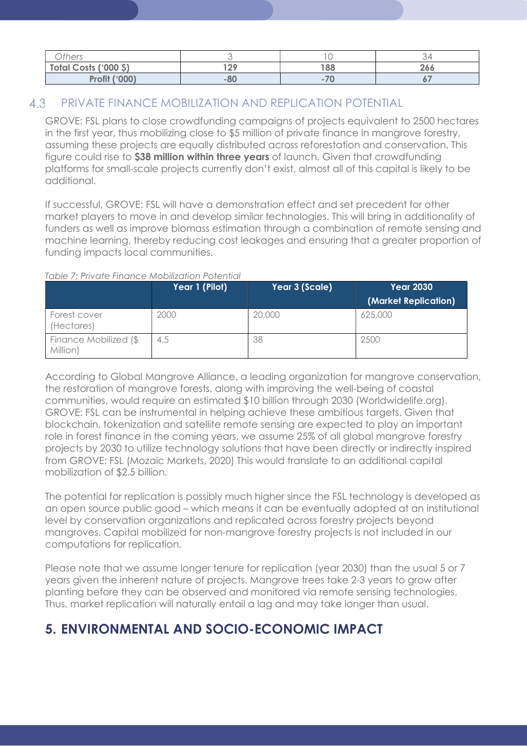| <b>Others</b>         |     |                |     |
|-----------------------|-----|----------------|-----|
| Total Costs ('000 \$) | 100 | 188            | 266 |
| <b>Profit ('000)</b>  | -80 | $\overline{7}$ |     |

#### 4.3 PRIVATE FINANCE MOBILIZATION AND REPLICATION POTENTIAL

GROVE: FSL plans to close crowdfunding campaigns of projects equivalent to 2500 hectares in the first year, thus mobilizing close to \$5 million of private finance in mangrove forestry, assuming these projects are equally distributed across reforestation and conservation. This figure could rise to \$38 million within three years of launch. Given that crowdfunding platforms for small-scale projects currently don't exist, almost all of this capital is likely to be additional.

If successful, GROVE: FSL will have a demonstration effect and set precedent for other market players to move in and develop similar technologies. This will bring in additionality of funders as well as improve biomass estimation through a combination of remote sensing and machine learning, thereby reducing cost leakages and ensuring that a greater proportion of funding impacts local communities.

#### Table 7: Private Finance Mobilization Potential

|                                   | Year 1 (Pilot) | Year 3 (Scale) | <b>Year 2030</b>     |
|-----------------------------------|----------------|----------------|----------------------|
|                                   |                |                | (Market Replication) |
| Forest cover<br>(Hectares)        | 2000           | 20,000         | 625,000              |
| Finance Mobilized (\$<br>Million) | 4.5            | 38             | 2500                 |

According to Global Mangrove Alliance, a leading organization for mangrove conservation, the restoration of mangrove forests, along with improving the well-being of coastal communities, would require an estimated \$10 billion through 2030 (Worldwidelife.org). GROVE: FSL can be instrumental in helping achieve these ambitious targets. Given that blockchain, tokenization and satellite remote sensing are expected to play an important role in forest finance in the coming years, we assume 25% of all global mangrove forestry projects by 2030 to utilize technology solutions that have been directly or indirectly inspired from GROVE: FSL (Mozaic Markets, 2020) This would translate to an additional capital mobilization of \$2.5 billion.

The potential for replication is possibly much higher since the FSL technology is developed as an open source public good – which means it can be eventually adopted at an institutional level by conservation organizations and replicated across forestry projects beyond mangroves. Capital mobilized for non-mangrove forestry projects is not included in our computations for replication.

Please note that we assume longer tenure for replication (year 2030) than the usual 5 or 7 years given the inherent nature of projects. Mangrove trees take 2-3 years to grow after planting before they can be observed and monitored via remote sensing technologies. Thus, market replication will naturally entail a lag and may take longer than usual.

## 5. ENVIRONMENTAL AND SOCIO-ECONOMIC IMPACT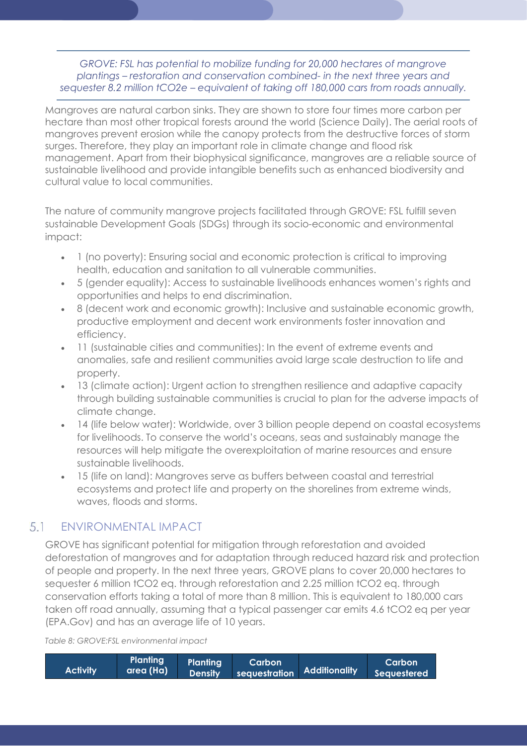GROVE: FSL has potential to mobilize funding for 20,000 hectares of mangrove plantings – restoration and conservation combined- in the next three years and sequester 8.2 million tCO2e – equivalent of taking off 180,000 cars from roads annually.

Mangroves are natural carbon sinks. They are shown to store four times more carbon per hectare than most other tropical forests around the world (Science Daily). The aerial roots of mangroves prevent erosion while the canopy protects from the destructive forces of storm surges. Therefore, they play an important role in climate change and flood risk management. Apart from their biophysical significance, mangroves are a reliable source of sustainable livelihood and provide intangible benefits such as enhanced biodiversity and cultural value to local communities.

The nature of community mangrove projects facilitated through GROVE: FSL fulfill seven sustainable Development Goals (SDGs) through its socio-economic and environmental impact:

- 1 (no poverty): Ensuring social and economic protection is critical to improving health, education and sanitation to all vulnerable communities.
- 5 (gender equality): Access to sustainable livelihoods enhances women's rights and opportunities and helps to end discrimination.
- 8 (decent work and economic growth): Inclusive and sustainable economic growth, productive employment and decent work environments foster innovation and efficiency.
- 11 (sustainable cities and communities): In the event of extreme events and anomalies, safe and resilient communities avoid large scale destruction to life and property.
- 13 (climate action): Urgent action to strengthen resilience and adaptive capacity through building sustainable communities is crucial to plan for the adverse impacts of climate change.
- 14 (life below water): Worldwide, over 3 billion people depend on coastal ecosystems for livelihoods. To conserve the world's oceans, seas and sustainably manage the resources will help mitigate the overexploitation of marine resources and ensure sustainable livelihoods.
- 15 (life on land): Mangroves serve as buffers between coastal and terrestrial ecosystems and protect life and property on the shorelines from extreme winds, waves, floods and storms.

#### 5.1 ENVIRONMENTAL IMPACT

GROVE has significant potential for mitigation through reforestation and avoided deforestation of mangroves and for adaptation through reduced hazard risk and protection of people and property. In the next three years, GROVE plans to cover 20,000 hectares to sequester 6 million tCO2 eq. through reforestation and 2.25 million tCO2 eq. through conservation efforts taking a total of more than 8 million. This is equivalent to 180,000 cars taken off road annually, assuming that a typical passenger car emits 4.6 tCO2 eq per year (EPA.Gov) and has an average life of 10 years.

Table 8: GROVE:FSL environmental impact

| <b>Activity</b> | Planting | <b>Planting</b> | Carbon | Caroline Carbon   Caroline Caroline   Caroline  <br>  area (Ha)   Density   sequestration   Additionality   Sequestered | Carbon |
|-----------------|----------|-----------------|--------|-------------------------------------------------------------------------------------------------------------------------|--------|
|-----------------|----------|-----------------|--------|-------------------------------------------------------------------------------------------------------------------------|--------|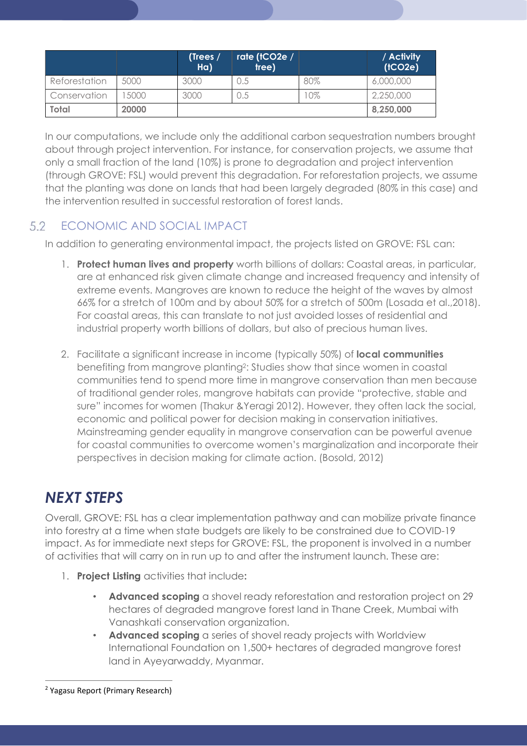|               |       | (Trees $/$<br>$H\alpha$ | rate (tCO2e /<br>tree) |     | / Activity<br>(1CO2e) |
|---------------|-------|-------------------------|------------------------|-----|-----------------------|
| Reforestation | 5000  | 3000                    | U.S                    | 80% | 6,000,000             |
| Conservation  | 5000  | 3000                    | J.5                    | 0%  | 2,250,000             |
| <b>Total</b>  | 20000 |                         |                        |     | 8,250,000             |

In our computations, we include only the additional carbon sequestration numbers brought about through project intervention. For instance, for conservation projects, we assume that only a small fraction of the land (10%) is prone to degradation and project intervention (through GROVE: FSL) would prevent this degradation. For reforestation projects, we assume that the planting was done on lands that had been largely degraded (80% in this case) and the intervention resulted in successful restoration of forest lands.

#### 5.2 ECONOMIC AND SOCIAL IMPACT

In addition to generating environmental impact, the projects listed on GROVE: FSL can:

- 1. Protect human lives and property worth billions of dollars: Coastal areas, in particular, are at enhanced risk given climate change and increased frequency and intensity of extreme events. Mangroves are known to reduce the height of the waves by almost 66% for a stretch of 100m and by about 50% for a stretch of 500m (Losada et al.,2018). For coastal areas, this can translate to not just avoided losses of residential and industrial property worth billions of dollars, but also of precious human lives.
- 2. Facilitate a significant increase in income (typically 50%) of **local communities** benefiting from mangrove planting<sup>2</sup>: Studies show that since women in coastal communities tend to spend more time in mangrove conservation than men because of traditional gender roles, mangrove habitats can provide "protective, stable and sure" incomes for women (Thakur &Yeragi 2012). However, they often lack the social, economic and political power for decision making in conservation initiatives. Mainstreaming gender equality in mangrove conservation can be powerful avenue for coastal communities to overcome women's marginalization and incorporate their perspectives in decision making for climate action. (Bosold, 2012)

## NEXT STEPS

Overall, GROVE: FSL has a clear implementation pathway and can mobilize private finance into forestry at a time when state budgets are likely to be constrained due to COVID-19 impact. As for immediate next steps for GROVE: FSL, the proponent is involved in a number of activities that will carry on in run up to and after the instrument launch. These are:

- 1. Project Listing activities that include:
	- Advanced scoping a shovel ready reforestation and restoration project on 29 hectares of degraded mangrove forest land in Thane Creek, Mumbai with Vanashkati conservation organization.
	- Advanced scoping a series of shovel ready projects with Worldview International Foundation on 1,500+ hectares of degraded mangrove forest land in Ayeyarwaddy, Myanmar.

 $\overline{a}$ 

<sup>&</sup>lt;sup>2</sup> Yagasu Report (Primary Research)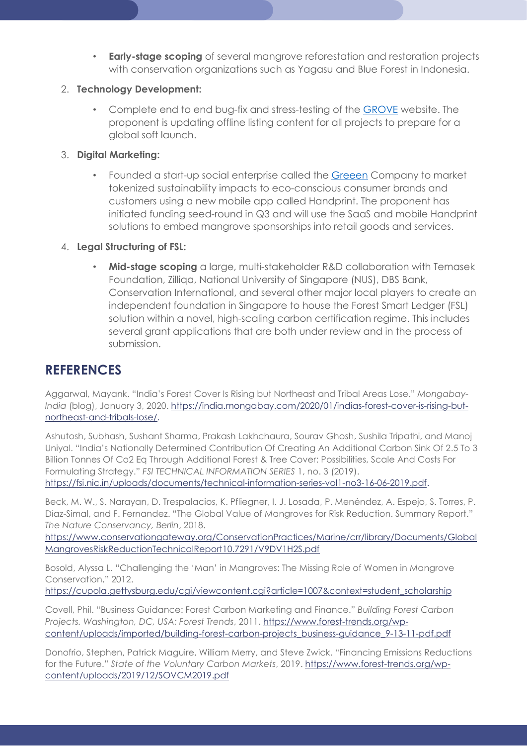• Early-stage scoping of several mangrove reforestation and restoration projects with conservation organizations such as Yagasu and Blue Forest in Indonesia.

### 2. Technology Development:

• Complete end to end bug-fix and stress-testing of the GROVE website. The proponent is updating offline listing content for all projects to prepare for a global soft launch.

### 3. Digital Marketing:

• Founded a start-up social enterprise called the Greeen Company to market tokenized sustainability impacts to eco-conscious consumer brands and customers using a new mobile app called Handprint. The proponent has initiated funding seed-round in Q3 and will use the SaaS and mobile Handprint solutions to embed mangrove sponsorships into retail goods and services.

### 4. Legal Structuring of FSL:

• Mid-stage scoping a large, multi-stakeholder R&D collaboration with Temasek Foundation, Zilliqa, National University of Singapore (NUS), DBS Bank, Conservation International, and several other major local players to create an independent foundation in Singapore to house the Forest Smart Ledger (FSL) solution within a novel, high-scaling carbon certification regime. This includes several grant applications that are both under review and in the process of submission.

## **REFERENCES**

Aggarwal, Mayank. "India's Forest Cover Is Rising but Northeast and Tribal Areas Lose." Mongabay-India (blog), January 3, 2020. https://india.mongabay.com/2020/01/indias-forest-cover-is-rising-butnortheast-and-tribals-lose/.

Ashutosh, Subhash, Sushant Sharma, Prakash Lakhchaura, Sourav Ghosh, Sushila Tripathi, and Manoj Uniyal. "India's Nationally Determined Contribution Of Creating An Additional Carbon Sink Of 2.5 To 3 Billion Tonnes Of Co2 Eq Through Additional Forest & Tree Cover: Possibilities, Scale And Costs For Formulating Strategy." FSI TECHNICAL INFORMATION SERIES 1, no. 3 (2019). https://fsi.nic.in/uploads/documents/technical-information-series-vol1-no3-16-06-2019.pdf.

Beck, M. W., S. Narayan, D. Trespalacios, K. Pfliegner, I. J. Losada, P. Menéndez, A. Espejo, S. Torres, P. Díaz-Simal, and F. Fernandez. "The Global Value of Mangroves for Risk Reduction. Summary Report." The Nature Conservancy, Berlin, 2018.

https://www.conservationgateway.org/ConservationPractices/Marine/crr/library/Documents/Global MangrovesRiskReductionTechnicalReport10.7291/V9DV1H2S.pdf

Bosold, Alyssa L. "Challenging the 'Man' in Mangroves: The Missing Role of Women in Mangrove Conservation," 2012.

https://cupola.gettysburg.edu/cgi/viewcontent.cgi?article=1007&context=student\_scholarship

Covell, Phil. "Business Guidance: Forest Carbon Marketing and Finance." Building Forest Carbon Projects. Washington, DC, USA: Forest Trends, 2011. https://www.forest-trends.org/wpcontent/uploads/imported/building-forest-carbon-projects\_business-guidance\_9-13-11-pdf.pdf

Donofrio, Stephen, Patrick Maguire, William Merry, and Steve Zwick. "Financing Emissions Reductions for the Future." State of the Voluntary Carbon Markets, 2019. https://www.forest-trends.org/wpcontent/uploads/2019/12/SOVCM2019.pdf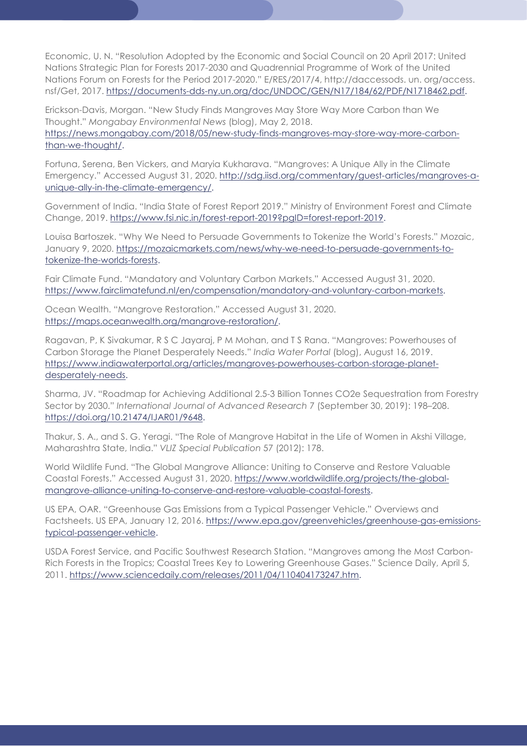Economic, U. N. "Resolution Adopted by the Economic and Social Council on 20 April 2017: United Nations Strategic Plan for Forests 2017-2030 and Quadrennial Programme of Work of the United Nations Forum on Forests for the Period 2017-2020." E/RES/2017/4, http://daccessods. un. org/access. nsf/Get, 2017. https://documents-dds-ny.un.org/doc/UNDOC/GEN/N17/184/62/PDF/N1718462.pdf.

Erickson-Davis, Morgan. "New Study Finds Mangroves May Store Way More Carbon than We Thought." Mongabay Environmental News (blog), May 2, 2018. https://news.mongabay.com/2018/05/new-study-finds-mangroves-may-store-way-more-carbonthan-we-thought/.

Fortuna, Serena, Ben Vickers, and Maryia Kukharava. "Mangroves: A Unique Ally in the Climate Emergency." Accessed August 31, 2020. http://sdg.iisd.org/commentary/guest-articles/mangroves-aunique-ally-in-the-climate-emergency/.

Government of India. "India State of Forest Report 2019." Ministry of Environment Forest and Climate Change, 2019. https://www.fsi.nic.in/forest-report-2019?pgID=forest-report-2019.

Louisa Bartoszek. "Why We Need to Persuade Governments to Tokenize the World's Forests." Mozaic, January 9, 2020. https://mozaicmarkets.com/news/why-we-need-to-persuade-governments-totokenize-the-worlds-forests.

Fair Climate Fund. "Mandatory and Voluntary Carbon Markets." Accessed August 31, 2020. https://www.fairclimatefund.nl/en/compensation/mandatory-and-voluntary-carbon-markets.

Ocean Wealth. "Mangrove Restoration." Accessed August 31, 2020. https://maps.oceanwealth.org/mangrove-restoration/.

Ragavan, P, K Sivakumar, R S C Jayaraj, P M Mohan, and T S Rana. "Mangroves: Powerhouses of Carbon Storage the Planet Desperately Needs." India Water Portal (blog), August 16, 2019. https://www.indiawaterportal.org/articles/mangroves-powerhouses-carbon-storage-planetdesperately-needs.

Sharma, JV. "Roadmap for Achieving Additional 2.5-3 Billion Tonnes CO2e Sequestration from Forestry Sector by 2030." International Journal of Advanced Research 7 (September 30, 2019): 198–208. https://doi.org/10.21474/IJAR01/9648.

Thakur, S. A., and S. G. Yeragi. "The Role of Mangrove Habitat in the Life of Women in Akshi Village, Maharashtra State, India." VLIZ Special Publication 57 (2012): 178.

World Wildlife Fund. "The Global Mangrove Alliance: Uniting to Conserve and Restore Valuable Coastal Forests." Accessed August 31, 2020. https://www.worldwildlife.org/projects/the-globalmangrove-alliance-uniting-to-conserve-and-restore-valuable-coastal-forests.

US EPA, OAR. "Greenhouse Gas Emissions from a Typical Passenger Vehicle." Overviews and Factsheets. US EPA, January 12, 2016. https://www.epa.gov/greenvehicles/greenhouse-gas-emissionstypical-passenger-vehicle.

USDA Forest Service, and Pacific Southwest Research Station. "Mangroves among the Most Carbon-Rich Forests in the Tropics; Coastal Trees Key to Lowering Greenhouse Gases." Science Daily, April 5, 2011. https://www.sciencedaily.com/releases/2011/04/110404173247.htm.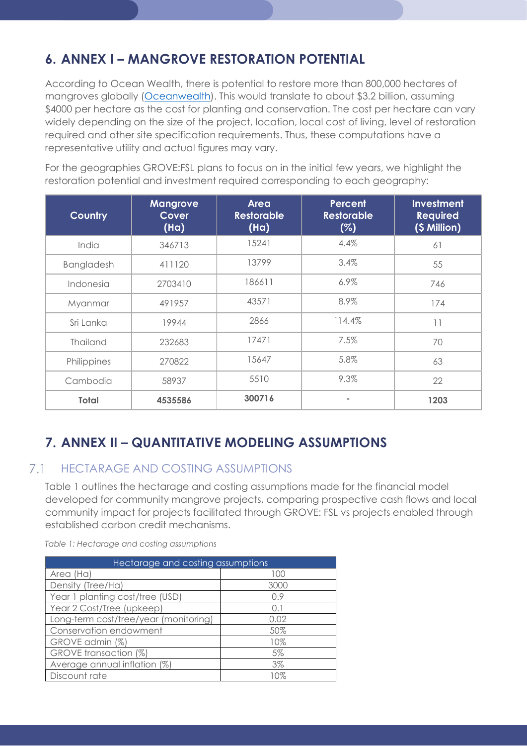## 6. ANNEX I – MANGROVE RESTORATION POTENTIAL

According to Ocean Wealth, there is potential to restore more than 800,000 hectares of mangroves globally (Oceanwealth). This would translate to about \$3.2 billion, assuming \$4000 per hectare as the cost for planting and conservation. The cost per hectare can vary widely depending on the size of the project, location, local cost of living, level of restoration required and other site specification requirements. Thus, these computations have a representative utility and actual figures may vary.

For the geographies GROVE:FSL plans to focus on in the initial few years, we highlight the restoration potential and investment required corresponding to each geography:

| <b>Country</b>  | <b>Mangrove</b><br><b>Cover</b><br>(Ha) | <b>Area</b><br><b>Restorable</b><br>(Ha) | <b>Percent</b><br><b>Restorable</b><br>(%) | Investment<br><b>Required</b><br>(\$ Million) |
|-----------------|-----------------------------------------|------------------------------------------|--------------------------------------------|-----------------------------------------------|
| India           | 346713                                  | 15241                                    | 4.4%                                       | 61                                            |
| Bangladesh      | 411120                                  | 13799                                    | 3.4%                                       | 55                                            |
| Indonesia       | 2703410                                 | 186611                                   | 6.9%                                       | 746                                           |
| Myanmar         | 491957                                  | 43571                                    | 8.9%                                       | 174                                           |
| Sri Lanka       | 19944                                   | 2866                                     | 14.4%                                      | 11                                            |
| <b>Thailand</b> | 232683                                  | 17471                                    | 7.5%                                       | 70                                            |
| Philippines     | 270822                                  | 15647                                    | 5.8%                                       | 63                                            |
| Cambodia        | 58937                                   | 5510                                     | 9.3%                                       | 22                                            |
| <b>Total</b>    | 4535586                                 | 300716                                   |                                            | 1203                                          |

## 7. ANNEX II – QUANTITATIVE MODELING ASSUMPTIONS

#### $7.1$ HECTARAGE AND COSTING ASSUMPTIONS

Table 1 outlines the hectarage and costing assumptions made for the financial model developed for community mangrove projects, comparing prospective cash flows and local community impact for projects facilitated through GROVE: FSL vs projects enabled through established carbon credit mechanisms.

Table 1: Hectarage and costing assumptions

| Hectarage and costing assumptions     |       |  |  |
|---------------------------------------|-------|--|--|
| Area (Ha)                             | 100   |  |  |
| Density (Tree/Ha)                     | 3000  |  |  |
| Year 1 planting cost/tree (USD)       | 0.9   |  |  |
| Year 2 Cost/Tree (upkeep)             | 0.1   |  |  |
| Long-term cost/tree/year (monitoring) | 0.02  |  |  |
| Conservation endowment                | 50%   |  |  |
| GROVE admin (%)                       | 10%   |  |  |
| GROVE transaction (%)                 | 5%    |  |  |
| Average annual inflation (%)          | $3\%$ |  |  |
| Discount rate                         | 10%   |  |  |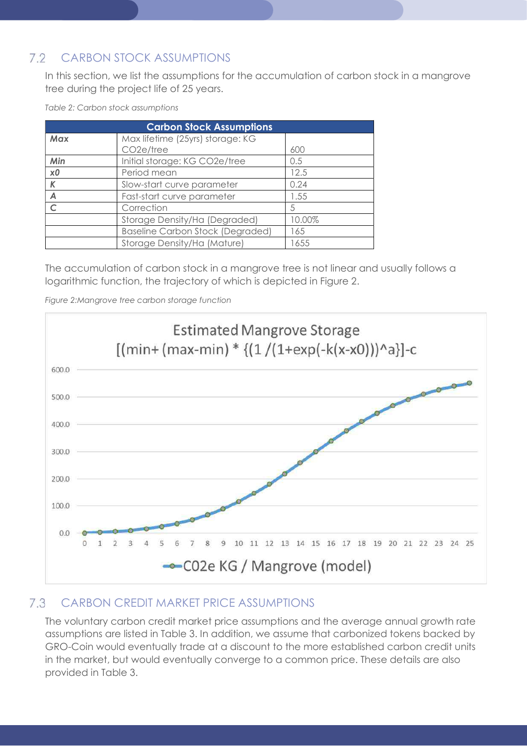#### $7.2$ CARBON STOCK ASSUMPTIONS

In this section, we list the assumptions for the accumulation of carbon stock in a mangrove tree during the project life of 25 years.

| <b>Carbon Stock Assumptions</b> |                                         |        |  |
|---------------------------------|-----------------------------------------|--------|--|
| Max                             | Max lifetime (25yrs) storage: KG        |        |  |
|                                 | CO <sub>2</sub> e/tree                  | 600    |  |
| Min                             | Initial storage: KG CO2e/tree           | 0.5    |  |
| x0                              | Period mean                             | 12.5   |  |
| K                               | Slow-start curve parameter              | 0.24   |  |
| Α                               | Fast-start curve parameter              | 1.55   |  |
|                                 | Correction                              | 5      |  |
|                                 | Storage Density/Ha (Degraded)           | 10.00% |  |
|                                 | <b>Baseline Carbon Stock (Degraded)</b> | 165    |  |
|                                 | Storage Density/Ha (Mature)             | 1655   |  |

Table 2: Carbon stock assumptions

The accumulation of carbon stock in a mangrove tree is not linear and usually follows a logarithmic function, the trajectory of which is depicted in Figure 2.

Figure 2:Mangrove tree carbon storage function



#### $7.3$ CARBON CREDIT MARKET PRICE ASSUMPTIONS

The voluntary carbon credit market price assumptions and the average annual growth rate assumptions are listed in Table 3. In addition, we assume that carbonized tokens backed by GRO-Coin would eventually trade at a discount to the more established carbon credit units in the market, but would eventually converge to a common price. These details are also provided in Table 3.